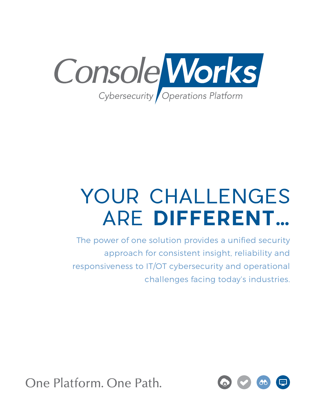

# YOUR CHALLENGES ARE **DIFFERENT…**

The power of one solution provides a unified security approach for consistent insight, reliability and responsiveness to IT/OT cybersecurity and operational challenges facing today's industries.



One Platform, One Path.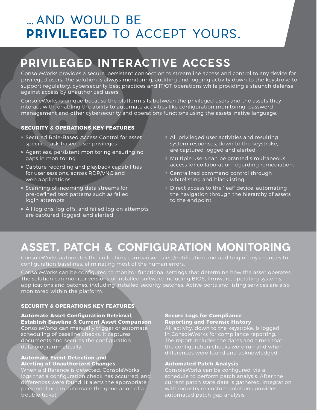### … AND WOULD BE **PRIVILEGED** TO ACCEPT YOURS.

## **PRIVILEGED INTERACTIVE ACCESS**

ConsoleWorks provides a secure, persistent connection to streamline access and control to any device for privileged users. The solution is always monitoring, auditing and logging activity down to the keystroke to support regulatory, cybersecurity best practices and IT/OT operations while providing a staunch defense against access by unauthorized users.

ConsoleWorks is unique because the platform sits between the privileged users and the assets they interact with, enabling the ability to automate activities like configuration monitoring, password management and other cybersecurity and operations functions using the assets' native language.

### **SECURITY & OPERATIONS KEY FEATURES**

- » Secured Role-Based Access Control for asset specific, task-based, user privileges
- » Agentless, persistent monitoring ensuring no gaps in monitoring
- » Capture recording and playback capabilities for user sessions, across RDP/VNC and web applications
- » Scanning of incoming data streams for pre-defined text patterns such as failed login attempts
- » All log-ons, log-offs, and failed log-on attempts are captured, logged, and alerted
- » All privileged user activities and resulting system responses, down to the keystroke, are captured logged and alerted
- » Multiple users can be granted simultaneous access for collaboration regarding remediation.
- » Centralized command control through whitelisting and blacklisting
- » Direct access to the 'leaf' device, automating the navigation through the hierarchy of assets to the endpoint

### **ASSET, PATCH & CONFIGURATION MONITORING**

ConsoleWorks automates the collection, comparison, alert/notification and auditing of any changes to configuration baselines, eliminating most of the human errors.

ConsoleWorks can be configured to monitor functional settings that determine how the asset operates. The solution can monitor versions of installed software including BIOS, firmware, operating systems, applications and patches, including installed security patches. Active ports and listing services are also monitored within the platform.

### **SECURITY & OPERATIONS KEY FEATURES**

### **Automate Asset Configuration Retrieval, Establish Baseline & Current Asset Comparison** ConsoleWorks can manually trigger or automate scheduling of baseline checks. It captures, documents and secures the configuration data programmatically.

### **Automate Event Detection and Alerting of Unauthorized Changes**

When a difference is detected, ConsoleWorks logs that a configuration check has occurred, and differences were found. It alerts the appropriate personnel or can automate the generation of a trouble ticket.

#### **Secure Logs for Compliance Reporting and Forensic History**

All activity, down to the keystroke, is logged in ConsoleWorks for compliance reporting. The report includes the dates and times that the configuration checks were run and when differences were found and acknowledged.

### **Automated Patch Analysis**

ConsoleWorks can be configured, via a schedule to perform patch analysis. After the current patch state data is gathered, integration with industry or custom solutions provides automated patch gap analysis.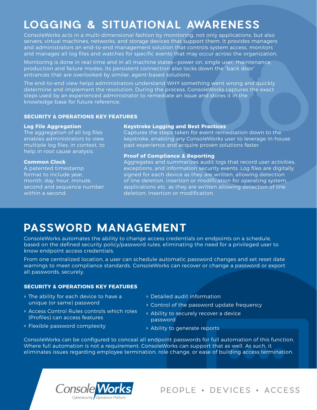### **LOGGING & SITUATIONAL AWARENESS**

ConsoleWorks acts in a multi-dimensional fashion by monitoring, not only applications, but also servers, virtual machines, networks, and storage devices that support them. It provides managers and administrators an end-to-end management solution that controls system access, monitors and manages all log files and watches for specific events that may occur across the organization.

Monitoring is done in real-time and in all machine states—power on, single user, maintenance, production and failure modes. Its persistent connection also locks down the "back door" entrances that are overlooked by similar, agent-based solutions.

The end-to-end view helps administrators understand WHY something went wrong and quickly determine and implement the resolution. During the process, ConsoleWorks captures the exact steps used by an experienced administrator to remediate an issue and stores it in the knowledge base for future reference.

### **SECURITY & OPERATIONS KEY FEATURES**

#### **Log File Aggregation**

The aggregation of all log files enables administrators to view multiple log files, in context, to help in root cause analysis.

#### **Common Clock**

A patented timestamp format to include year, month, day, hour, minute, second and sequence number within a second.

### **Keystroke Logging and Best Practices**

Captures the steps taken for event remediation down to the keystroke, enabling any ConsoleWorks user to leverage in-house past experience and acquire proven solutions faster.

#### **Proof of Compliance & Reporting**

Aggregates and summarizes audit logs that record user activities, exceptions, and information security events. Log files are digitally signed for each device as they are written, allowing detection of line deletion, insertion or modification for operating system, applications etc. as they are written allowing detection of line deletion, insertion or modification.

### **PASSWORD MANAGEMENT**

ConsoleWorks automates the ability to change access credentials on endpoints on a schedule, based on the defined security policy/password rules, eliminating the need for a privileged user to know endpoint access credentials.

From one centralized location, a user can schedule automatic password changes and set reset date warnings to meet compliance standards. ConsoleWorks can recover or change a password or export all passwords, securely.

### **SECURITY & OPERATIONS KEY FEATURES**

- » The ability for each device to have a unique (or same) password
- » Access Control Rules controls which roles (Profiles) can access features
- » Flexible password complexity
- » Detailed audit information
- » Control of the password update frequency
- » Ability to securely recover a device password
- » Ability to generate reports

ConsoleWorks can be configured to conceal all endpoint passwords for full automation of this function. Where full automation is not a requirement, ConsoleWorks can support that as well. As such, it eliminates issues regarding employee termination, role change, or ease of building access termination.



PEOPLE . DEVICES . ACCESS